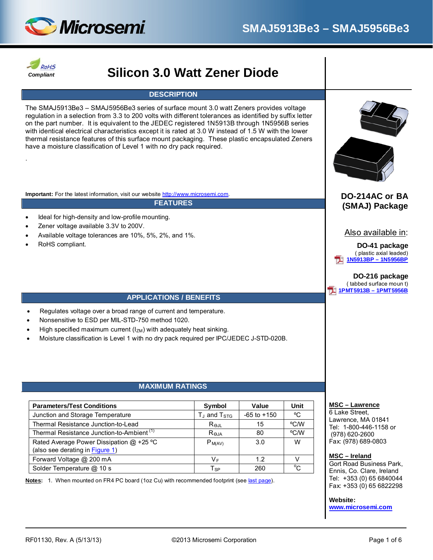



.

# *Compliant* **Silicon 3.0 Watt Zener Diode**

### **DESCRIPTION**

The SMAJ5913Be3 – SMAJ5956Be3 series of surface mount 3.0 watt Zeners provides voltage regulation in a selection from 3.3 to 200 volts with different tolerances as identified by suffix letter on the part number. It is equivalent to the JEDEC registered 1N5913B through 1N5956B series with identical electrical characteristics except it is rated at 3.0 W instead of 1.5 W with the lower thermal resistance features of this surface mount packaging. These plastic encapsulated Zeners have a moisture classification of Level 1 with no dry pack required.

**Important:** For the latest information, visit our website [http://www.microsemi.com.](http://www.microsemi.com/)

#### **FEATURES**

- Ideal for high-density and low-profile mounting.
- Zener voltage available 3.3V to 200V.
- Available voltage tolerances are 10%, 5%, 2%, and 1%.
- RoHS compliant.



## **DO-214AC or BA (SMAJ) Package**

## Also available in:

#### **DO-41 package** ( plastic axial leaded) **[1N5913BP – 1N5956BP](http://www.microsemi.com/existing-parts/parts/37548#docs-specs)**

#### **DO-216 package** ( tabbed surface moun t) **[1PMT5913B – 1PMT5956B](http://www.microsemi.com/existing-parts/parts/12922)**

#### **APPLICATIONS / BENEFITS**

- Regulates voltage over a broad range of current and temperature.
- Nonsensitive to ESD per MIL-STD-750 method 1020.
- High specified maximum current  $(I_{ZM})$  with adequately heat sinking.
- Moisture classification is Level 1 with no dry pack required per IPC/JEDEC J-STD-020B.

### **MAXIMUM RATINGS**

<span id="page-0-0"></span>

| <b>Parameters/Test Conditions</b>                     | Symbol                | Value           | Unit        |
|-------------------------------------------------------|-----------------------|-----------------|-------------|
| Junction and Storage Temperature                      | $T_{J}$ and $T_{STG}$ | $-65$ to $+150$ | °C          |
| Thermal Resistance Junction-to-Lead                   | $R_{\Theta,IL}$       | 15              | °C/W        |
| Thermal Resistance Junction-to-Ambient <sup>(1)</sup> | Reja                  | 80              | °C/W        |
| Rated Average Power Dissipation @ +25 °C              | $P_{M(AV)}$           | 3.0             | W           |
| (also see derating in Figure 1)                       |                       |                 |             |
| Forward Voltage @ 200 mA                              | V <sub>F</sub>        | 12              | v           |
| Solder Temperature @ 10 s                             | $T_{SP}$              | 260             | $^{\circ}C$ |

**Notes:** 1. When mounted on FR4 PC board (1oz Cu) with recommended footprint (see [last page\)](#page-5-0).

#### **MSC – Lawrence**

6 Lake Street, Lawrence, MA 01841 Tel: 1-800-446-1158 or (978) 620-2600 Fax: (978) 689-0803

#### **MSC – Ireland**

Gort Road Business Park, Ennis, Co. Clare, Ireland Tel: +353 (0) 65 6840044 Fax: +353 (0) 65 6822298

#### **Website:**

**[www.microsemi.com](http://www.microsemi.com/)**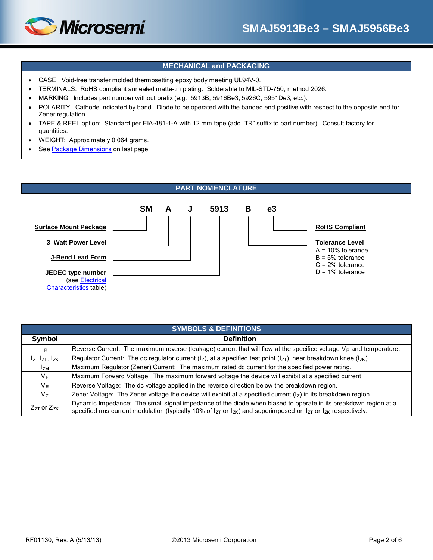## **MECHANICAL and PACKAGING**

- CASE: Void-free transfer molded thermosetting epoxy body meeting UL94V-0.
- TERMINALS: RoHS compliant annealed matte-tin plating. Solderable to MIL-STD-750, method 2026.
- MARKING: Includes part number without prefix (e.g. 5913B, 5916Be3, 5926C, 5951De3, etc.).
- POLARITY: Cathode indicated by band. Diode to be operated with the banded end positive with respect to the opposite end for Zener regulation.
- TAPE & REEL option: Standard per EIA-481-1-A with 12 mm tape (add "TR" suffix to part number). Consult factory for quantities.
- WEIGHT: Approximately 0.064 grams.

*Microsemi* 

• See [Package Dimensions](#page-5-1) on last page.



| <b>SYMBOLS &amp; DEFINITIONS</b> |                                                                                                                                                                                                                                                   |  |  |  |  |  |
|----------------------------------|---------------------------------------------------------------------------------------------------------------------------------------------------------------------------------------------------------------------------------------------------|--|--|--|--|--|
| Symbol                           | <b>Definition</b>                                                                                                                                                                                                                                 |  |  |  |  |  |
| $I_{\rm R}$                      | Reverse Current: The maximum reverse (leakage) current that will flow at the specified voltage $V_R$ and temperature.                                                                                                                             |  |  |  |  |  |
| $I_z$ , $I_{ZT}$ , $I_{ZK}$      | Regulator Current: The dc regulator current ( $ _Z$ ), at a specified test point ( $ _{ZT}$ ), near breakdown knee ( $ _{ZK}$ ).                                                                                                                  |  |  |  |  |  |
| $I_{ZM}$                         | Maximum Regulator (Zener) Current: The maximum rated dc current for the specified power rating.                                                                                                                                                   |  |  |  |  |  |
| $V_{F}$                          | Maximum Forward Voltage: The maximum forward voltage the device will exhibit at a specified current.                                                                                                                                              |  |  |  |  |  |
| $V_{R}$                          | Reverse Voltage: The dc voltage applied in the reverse direction below the breakdown region.                                                                                                                                                      |  |  |  |  |  |
| V <sub>7</sub>                   | Zener Voltage: The Zener voltage the device will exhibit at a specified current $(lz)$ in its breakdown region.                                                                                                                                   |  |  |  |  |  |
| $Z_{ZT}$ or $Z_{ZK}$             | Dynamic Impedance: The small signal impedance of the diode when biased to operate in its breakdown region at a<br>specified ms current modulation (typically 10% of $I_{ZT}$ or $I_{ZV}$ ) and superimposed on $I_{ZT}$ or $I_{ZK}$ respectively. |  |  |  |  |  |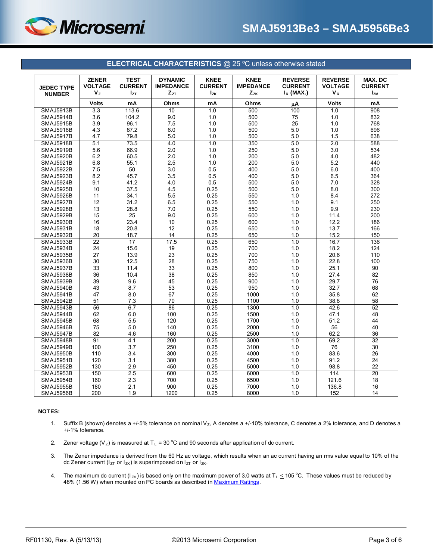

<span id="page-2-0"></span>

|                   | <b>ZENER</b>   | <b>TEST</b>      | <b>DYNAMIC</b>   | <b>KNEE</b>    | <b>KNEE</b>      | <b>REVERSE</b> | <b>REVERSE</b>    | MAX. DC          |
|-------------------|----------------|------------------|------------------|----------------|------------------|----------------|-------------------|------------------|
| <b>JEDEC TYPE</b> | <b>VOLTAGE</b> | <b>CURRENT</b>   | <b>IMPEDANCE</b> | <b>CURRENT</b> | <b>IMPEDANCE</b> | <b>CURRENT</b> | <b>VOLTAGE</b>    | <b>CURRENT</b>   |
| <b>NUMBER</b>     | $V_{Z}$        | $I_{ZT}$         | $Z_{ZT}$         | $I_{ZK}$       | $Z_{ZK}$         | $I_R$ (MAX.)   | $V_R$             | $I_{ZM}$         |
|                   | <b>Volts</b>   | mA               | Ohms             | mA             | Ohms             | цA             | <b>Volts</b>      | mA               |
| <b>SMAJ5913B</b>  | 3.3            | 113.6            | 10               | 1.0            | 500              | 100            | 1.0               | $\overline{908}$ |
| SMAJ5914B         | 3.6            | 104.2            | 9.0              | 1.0            | 500              | 75             | 1.0               | 832              |
| <b>SMAJ5915B</b>  | 3.9            | 96.1             | 7.5              | 1.0            | 500              | 25             | 1.0               | 768              |
| SMAJ5916B         | 4.3            | 87.2             | 6.0              | 1.0            | 500              | 5.0            | 1.0               | 696              |
| <b>SMAJ5917B</b>  | 4.7            | 79.8             | 5.0              | 1.0            | 500              | 5.0            | 1.5               | 638              |
| <b>SMAJ5918B</b>  | 5.1            | 73.5             | 4.0              | 1.0            | 350              | 5.0            | 2.0               | 588              |
| <b>SMAJ5919B</b>  | 5.6            | 66.9             | 2.0              | 1.0            | 250              | 5.0            | 3.0               | 534              |
| SMAJ5920B         | 6.2            | 60.5             | 2.0              | 1.0            | 200              | 5.0            | 4.0               | 482              |
| <b>SMAJ5921B</b>  | 6.8            | 55.1             | 2.5              | 1.0            | 200              | 5.0            | 5.2               | 440              |
| <b>SMAJ5922B</b>  | 7.5            | 50               | 3.0              | 0.5            | 400              | 5.0            | 6.0               | 400              |
| SMAJ5923B         | 8.2            | 45.7             | 3.5              | 0.5            | 400              | 5.0            | 6.5               | 364              |
| SMAJ5924B         | 9.1            | 41.2             | 4.0              | 0.5            | 500              | 5.0            | 7.0               | 328              |
| SMAJ5925B         | 10             | 37.5             | 4.5              | 0.25           | 500              | 5.0            | 8.0               | 300              |
| SMAJ5926B         | 11             | 34.1             | 5.5              | 0.25           | 550              | 1.0            | 8.4               | 272              |
| SMAJ5927B         | 12             | 31.2             | 6.5              | 0.25           | 550              | 1.0            | 9.1               | 250              |
| <b>SMAJ5928B</b>  | 13             | 28.8             | 7.0              | 0.25           | 550              | 1.0            | 9.9               | 230              |
| SMAJ5929B         | 15             | 25               | 9.0              | 0.25           | 600              | 1.0            | 11.4              | 200              |
| <b>SMAJ5930B</b>  | 16             | 23.4             | 10               | 0.25           | 600              | 1.0            | 12.2              | 186              |
| <b>SMAJ5931B</b>  | 18             | 20.8             | 12               | 0.25           | 650              | 1.0            | 13.7              | 166              |
| SMAJ5932B         | 20             | 18.7             | 14               | 0.25           | 650              | 1.0            | 15.2              | 150              |
| SMAJ5933B         | 22             | 17               | 17.5             | 0.25           | 650              | 1.0            | 16.7              | 136              |
| SMAJ5934B         | 24             | 15.6             | 19               | 0.25           | 700              | 1.0            | 18.2              | 124              |
| <b>SMAJ5935B</b>  | 27             | 13.9             | 23               | 0.25           | 700              | 1.0            | 20.6              | 110              |
| SMAJ5936B         | 30             | 12.5             | 28               | 0.25           | 750              | 1.0            | 22.8              | 100              |
| SMAJ5937B         | 33             | 11.4             | 33               | 0.25           | 800              | 1.0            | 25.1              | 90               |
| <b>SMAJ5938B</b>  | 36             | 10.4             | 38               | 0.25           | 850              | 1.0            | 27.4              | $\overline{82}$  |
| <b>SMAJ5939B</b>  | 39             | 9.6              | 45               | 0.25           | 900              | 1.0            | 29.7              | 76               |
| SMAJ5940B         | 43             | 8.7              | 53               | 0.25           | 950              | 1.0            | 32.7              | 68               |
| SMAJ5941B         | 47             | 8.0              | 67               | 0.25           | 1000             | 1.0            | 35.8              | 62               |
| SMAJ5942B         | 51             | 7.3              | 70               | 0.25           | 1100             | 1.0            | 38.8              | 58               |
| SMAJ5943B         | 56             | 6.7              | 86               | 0.25           | 1300             | 1.0            | 42.6              | 52               |
| SMAJ5944B         | 62             | 6.0              | 100              | 0.25           | 1500             | 1.0            | 47.1              | 48               |
| SMAJ5945B         | 68             | 5.5              | 120              | 0.25           | 1700             | 1.0            | 51.2              | 44               |
| SMAJ5946B         | 75             | 5.0              | 140              | 0.25           | 2000             | 1.0            | 56                | 40               |
| SMAJ5947B         | 82             | 4.6              | 160              | 0.25           | 2500             | 1.0            | 62.2              | 36               |
| SMAJ5948B         | 91             | $\overline{4.1}$ | $\overline{200}$ | 0.25           | 3000             | 1.0            | 69.2              | 32               |
| SMAJ5949B         | 100            | 3.7              | 250              | 0.25           | 3100             | 1.0            | 76                | 30               |
| SMAJ5950B         | 110            | 3.4              | 300              | 0.25           | 4000             | 1.0            | 83.6              | 26               |
| SMAJ5951B         | 120            | 3.1              | 380              | 0.25           | 4500             | 1.0            | 91.2              | 24               |
| SMAJ5952B         | 130            | 2.9              | 450              | 0.25           | 5000             | 1.0            | 98.8              | 22               |
| SMAJ5953B         | 150            | 2.5              | 600              | 0.25           | 6000             | 1.0            | $\frac{114}{114}$ | $\overline{20}$  |
| SMAJ5954B         | 160            | 2.3              | 700              | 0.25           | 6500             | 1.0            | 121.6             | 18               |
| SMAJ5955B         | 180            | 2.1              | 900              | 0.25           | 7000             | 1.0            | 136.8             | 16               |
| SMAJ5956B         | 200            | 1.9              | 1200             | 0.25           | 8000             | 1.0            | 152               | 14               |

**ELECTRICAL CHARACTERISTICS** @ 25 ºC unless otherwise stated

#### **NOTES:**

- 1. Suffix B (shown) denotes a +/-5% tolerance on nominal  $V_z$ , A denotes a +/-10% tolerance, C denotes a 2% tolerance, and D denotes a +/-1% tolerance.
- 2. Zener voltage (V<sub>Z</sub>) is measured at T<sub>L</sub> = 30 °C and 90 seconds after application of dc current.
- 3. The Zener impedance is derived from the 60 Hz ac voltage, which results when an ac current having an rms value equal to 10% of the dc Zener current ( $I_{ZT}$  or  $I_{ZK}$ ) is superimposed on  $I_{ZT}$  or  $I_{ZK}$ .
- 4. The maximum dc current ( $I_{ZM}$ ) is based only on the maximum power of 3.0 watts at T<sub>L</sub>  $\leq$  105 °C. These values must be reduced by 48% (1.56 W) when mounted on PC boards as described in [Maximum Ratings.](#page-0-0)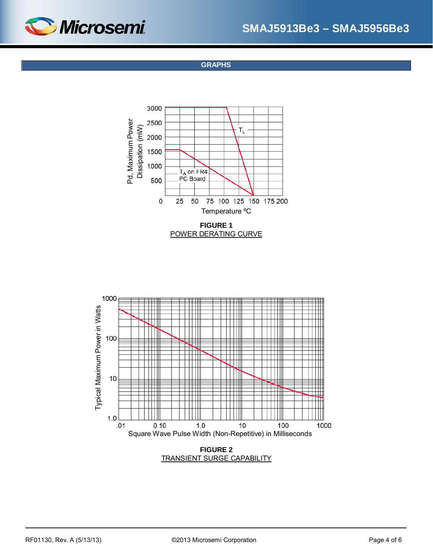<span id="page-3-0"></span>

**GRAPHS**







TRANSIENT SURGE CAPABILITY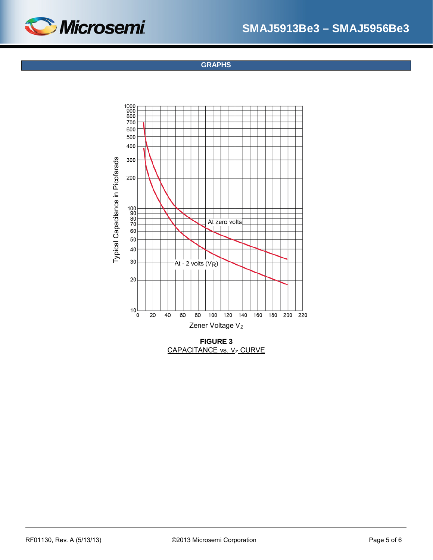

**GRAPHS**



CAPACITANCE vs. Vz CURVE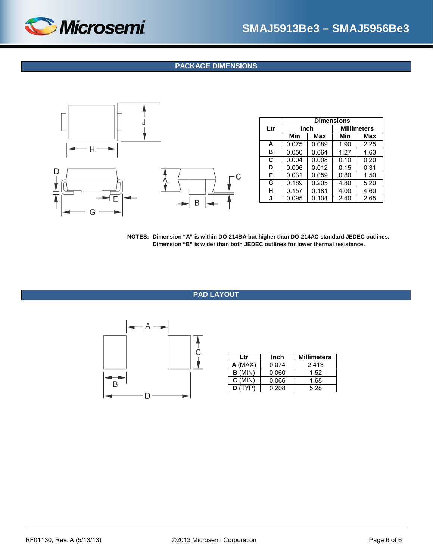

## **PACKAGE DIMENSIONS**

<span id="page-5-1"></span>

|     | <b>Dimensions</b> |       |                    |      |  |  |
|-----|-------------------|-------|--------------------|------|--|--|
| Ltr | Inch              |       | <b>Millimeters</b> |      |  |  |
|     | Min               | Max   | Min                | Max  |  |  |
| A   | 0.075             | 0.089 | 1.90               | 2.25 |  |  |
| в   | 0.050             | 0.064 | 1.27               | 1.63 |  |  |
| C   | 0.004             | 0.008 | 0.10               | 0.20 |  |  |
| D   | 0.006             | 0.012 | 0.15               | 0.31 |  |  |
| Е   | 0.031             | 0.059 | 0.80               | 1.50 |  |  |
| G   | 0.189             | 0.205 | 4.80               | 5.20 |  |  |
| н   | 0.157             | 0.181 | 4.00               | 4.60 |  |  |
| J   | 0.095             | 0.104 | 2.40               | 2.65 |  |  |

**NOTES: Dimension "A" is within DO-214BA but higher than DO-214AC standard JEDEC outlines. Dimension "B" is wider than both JEDEC outlines for lower thermal resistance.**

#### **PAD LAYOUT**

<span id="page-5-0"></span>

| Ltr       | Inch  | <b>Millimeters</b> |  |
|-----------|-------|--------------------|--|
| $A$ (MAX) | 0.074 | 2.413              |  |
| $B$ (MIN) | 0.060 | 1.52               |  |
| $C$ (MIN) | 0.066 | 1.68               |  |
| D(TYP)    | 0.208 | 5.28               |  |